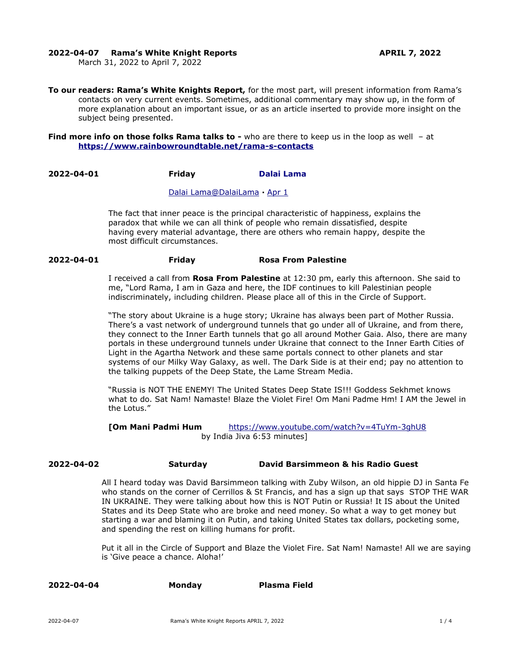### **2022-04-07 Rama's White Knight Reports APRIL 7, 2022**

March 31, 2022 to April 7, 2022

**To our readers: Rama's White Knights Report,** for the most part, will present information from Rama's contacts on very current events. Sometimes, additional commentary may show up, in the form of more explanation about an important issue, or as an article inserted to provide more insight on the subject being presented.

**Find more info on those folks Rama talks to -** who are there to keep us in the loop as well - at **<https://www.rainbowroundtable.net/rama-s-contacts>**

# **2022-04-01 Friday [Dalai Lama](https://twitter.com/DalaiLama)**

#### [Dalai](https://twitter.com/DalaiLama) [Lama@DalaiLama](mailto:Lama@DalaiLama) **·** [Apr 1](https://twitter.com/DalaiLama/status/1509825523194933248)

The fact that inner peace is the principal characteristic of happiness, explains the paradox that while we can all think of people who remain dissatisfied, despite having every material advantage, there are others who remain happy, despite the most difficult circumstances.

#### **2022-04-01 Friday Rosa From Palestine**

I received a call from **Rosa From Palestine** at 12:30 pm, early this afternoon. She said to me, "Lord Rama, I am in Gaza and here, the IDF continues to kill Palestinian people indiscriminately, including children. Please place all of this in the Circle of Support.

"The story about Ukraine is a huge story; Ukraine has always been part of Mother Russia. There's a vast network of underground tunnels that go under all of Ukraine, and from there, they connect to the Inner Earth tunnels that go all around Mother Gaia. Also, there are many portals in these underground tunnels under Ukraine that connect to the Inner Earth Cities of Light in the Agartha Network and these same portals connect to other planets and star systems of our Milky Way Galaxy, as well. The Dark Side is at their end; pay no attention to the talking puppets of the Deep State, the Lame Stream Media.

"Russia is NOT THE ENEMY! The United States Deep State IS!!! Goddess Sekhmet knows what to do. Sat Nam! Namaste! Blaze the Violet Fire! Om Mani Padme Hm! I AM the Jewel in the Lotus."

**[Om Mani Padmi Hum** <https://www.youtube.com/watch?v=4TuYm-3ghU8> by India Jiva 6:53 minutes]

### **2022-04-02 Saturday David Barsimmeon & his Radio Guest**

All I heard today was David Barsimmeon talking with Zuby Wilson, an old hippie DJ in Santa Fe who stands on the corner of Cerrillos & St Francis, and has a sign up that says STOP THE WAR IN UKRAINE. They were talking about how this is NOT Putin or Russia! It IS about the United States and its Deep State who are broke and need money. So what a way to get money but starting a war and blaming it on Putin, and taking United States tax dollars, pocketing some, and spending the rest on killing humans for profit.

Put it all in the Circle of Support and Blaze the Violet Fire. Sat Nam! Namaste! All we are saying is 'Give peace a chance. Aloha!'

| 2022-04-04 | <b>Monday</b> | <b>Plasma Field</b> |
|------------|---------------|---------------------|
|------------|---------------|---------------------|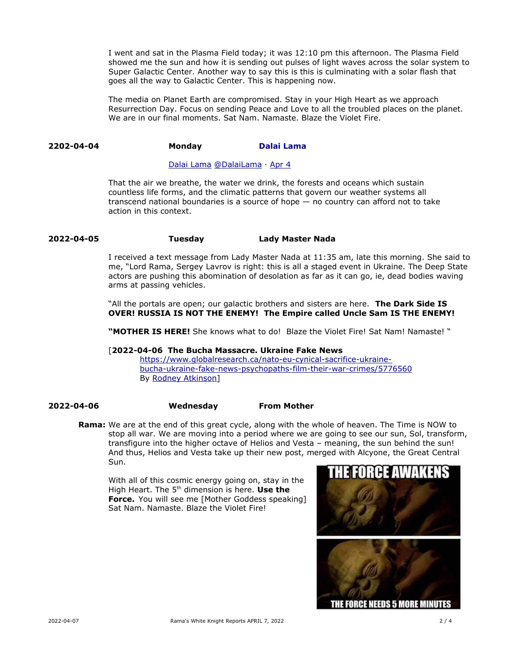I went and sat in the Plasma Field today; it was 12:10 pm this afternoon. The Plasma Field showed me the sun and how it is sending out pulses of light waves across the solar system to Super Galactic Center. Another way to say this is this is culminating with a solar flash that goes all the way to Galactic Center. This is happening now.

The media on Planet Earth are compromised. Stay in your High Heart as we approach Resurrection Day. Focus on sending Peace and Love to all the troubled places on the planet. We are in our final moments. Sat Nam. Namaste. Blaze the Violet Fire.

## **2202-04-04 Monday [Dalai Lama](https://twitter.com/DalaiLama)**

#### [Dalai Lama](https://twitter.com/DalaiLama) [@DalaiLama](https://twitter.com/DalaiLama) · [Apr 4](https://twitter.com/DalaiLama/status/1510912620161019904)

That the air we breathe, the water we drink, the forests and oceans which sustain countless life forms, and the climatic patterns that govern our weather systems all transcend national boundaries is a source of hope — no country can afford not to take action in this context.

## **2022-04-05 Tuesday Lady Master Nada**

I received a text message from Lady Master Nada at 11:35 am, late this morning. She said to me, "Lord Rama, Sergey Lavrov is right: this is all a staged event in Ukraine. The Deep State actors are pushing this abomination of desolation as far as it can go, ie, dead bodies waving arms at passing vehicles.

"All the portals are open; our galactic brothers and sisters are here. **The Dark Side IS OVER! RUSSIA IS NOT THE ENEMY! The Empire called Uncle Sam IS THE ENEMY!** 

**"MOTHER IS HERE!** She knows what to do! Blaze the Violet Fire! Sat Nam! Namaste! "

## [**2022-04-06 The Bucha Massacre. Ukraine Fake News**

[https://www.globalresearch.ca/nato-eu-cynical-sacrifice-ukraine](https://www.globalresearch.ca/nato-eu-cynical-sacrifice-ukraine-bucha-ukraine-fake-news-)  [bucha-ukraine-fake-news-](https://www.globalresearch.ca/nato-eu-cynical-sacrifice-ukraine-bucha-ukraine-fake-news-) [psychopaths-film-their-war-crimes/5776560](https://www.globalresearch.ca/nato-eu-cynical-sacrifice-ukraine-bucha-ukraine-fake-news-psychopaths-film-their-war-crimes/5776560) By [Rodney Atkinson](https://www.globalresearch.ca/author/rodney-atkinson)]

**2022-04-06 Wednesday From Mother** 

**Rama:** We are at the end of this great cycle, along with the whole of heaven. The Time is NOW to stop all war. We are moving into a period where we are going to see our sun, Sol, transform, transfigure into the higher octave of Helios and Vesta – meaning, the sun behind the sun! And thus, Helios and Vesta take up their new post, merged with Alcyone, the Great Central Sun.

With all of this cosmic energy going on, stay in the High Heart. The 5<sup>th</sup> dimension is here. Use the **Force.** You will see me [Mother Goddess speaking] Sat Nam. Namaste. Blaze the Violet Fire!

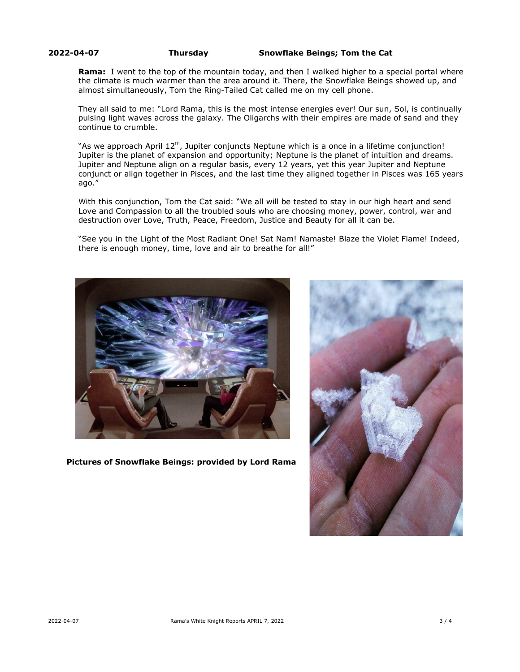**2022-04-07 Thursday Snowflake Beings; Tom the Cat**

**Rama:** I went to the top of the mountain today, and then I walked higher to a special portal where the climate is much warmer than the area around it. There, the Snowflake Beings showed up, and almost simultaneously, Tom the Ring-Tailed Cat called me on my cell phone.

They all said to me: "Lord Rama, this is the most intense energies ever! Our sun, Sol, is continually pulsing light waves across the galaxy. The Oligarchs with their empires are made of sand and they continue to crumble.

"As we approach April  $12<sup>th</sup>$ , Jupiter conjuncts Neptune which is a once in a lifetime conjunction! Jupiter is the planet of expansion and opportunity; Neptune is the planet of intuition and dreams. Jupiter and Neptune align on a regular basis, every 12 years, yet this year Jupiter and Neptune conjunct or align together in Pisces, and the last time they aligned together in Pisces was 165 years ago."

With this conjunction, Tom the Cat said: "We all will be tested to stay in our high heart and send Love and Compassion to all the troubled souls who are choosing money, power, control, war and destruction over Love, Truth, Peace, Freedom, Justice and Beauty for all it can be.

"See you in the Light of the Most Radiant One! Sat Nam! Namaste! Blaze the Violet Flame! Indeed, there is enough money, time, love and air to breathe for all!"



 **Pictures of Snowflake Beings: provided by Lord Rama**